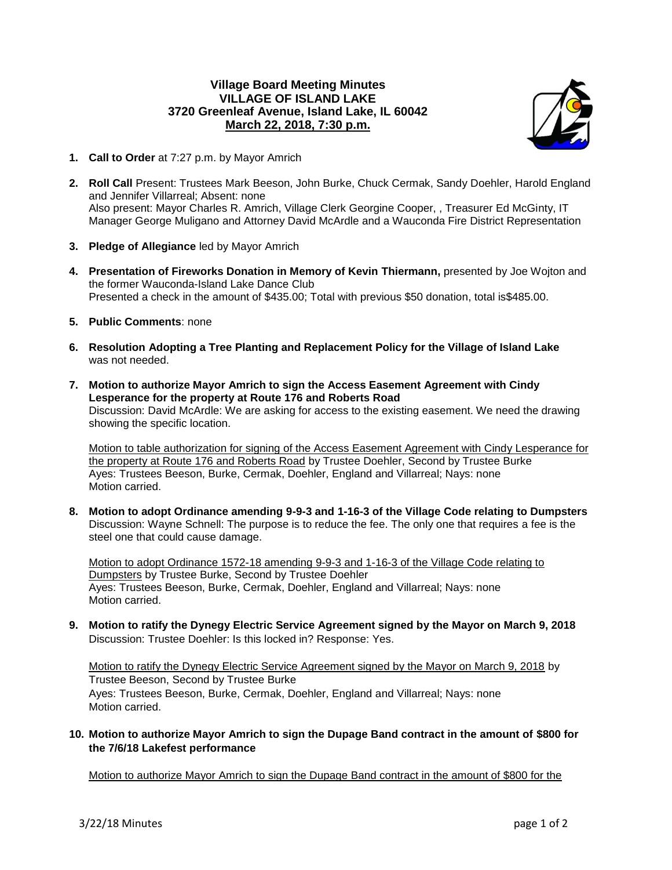## **Village Board Meeting Minutes VILLAGE OF ISLAND LAKE 3720 Greenleaf Avenue, Island Lake, IL 60042 March 22, 2018, 7:30 p.m.**



- **1. Call to Order** at 7:27 p.m. by Mayor Amrich
- **2. Roll Call** Present: Trustees Mark Beeson, John Burke, Chuck Cermak, Sandy Doehler, Harold England and Jennifer Villarreal; Absent: none Also present: Mayor Charles R. Amrich, Village Clerk Georgine Cooper, , Treasurer Ed McGinty, IT Manager George Muligano and Attorney David McArdle and a Wauconda Fire District Representation
- **3. Pledge of Allegiance** led by Mayor Amrich
- **4. Presentation of Fireworks Donation in Memory of Kevin Thiermann,** presented by Joe Wojton and the former Wauconda-Island Lake Dance Club Presented a check in the amount of \$435.00; Total with previous \$50 donation, total is\$485.00.
- **5. Public Comments**: none
- **6. Resolution Adopting a Tree Planting and Replacement Policy for the Village of Island Lake** was not needed.
- **7. Motion to authorize Mayor Amrich to sign the Access Easement Agreement with Cindy Lesperance for the property at Route 176 and Roberts Road** Discussion: David McArdle: We are asking for access to the existing easement. We need the drawing showing the specific location.

Motion to table authorization for signing of the Access Easement Agreement with Cindy Lesperance for the property at Route 176 and Roberts Road by Trustee Doehler, Second by Trustee Burke Ayes: Trustees Beeson, Burke, Cermak, Doehler, England and Villarreal; Nays: none Motion carried.

**8. Motion to adopt Ordinance amending 9-9-3 and 1-16-3 of the Village Code relating to Dumpsters** Discussion: Wayne Schnell: The purpose is to reduce the fee. The only one that requires a fee is the steel one that could cause damage.

Motion to adopt Ordinance 1572-18 amending 9-9-3 and 1-16-3 of the Village Code relating to Dumpsters by Trustee Burke, Second by Trustee Doehler Ayes: Trustees Beeson, Burke, Cermak, Doehler, England and Villarreal; Nays: none Motion carried.

**9. Motion to ratify the Dynegy Electric Service Agreement signed by the Mayor on March 9, 2018** Discussion: Trustee Doehler: Is this locked in? Response: Yes.

Motion to ratify the Dynegy Electric Service Agreement signed by the Mayor on March 9, 2018 by Trustee Beeson, Second by Trustee Burke Ayes: Trustees Beeson, Burke, Cermak, Doehler, England and Villarreal; Nays: none Motion carried.

**10. Motion to authorize Mayor Amrich to sign the Dupage Band contract in the amount of \$800 for the 7/6/18 Lakefest performance**

Motion to authorize Mayor Amrich to sign the Dupage Band contract in the amount of \$800 for the